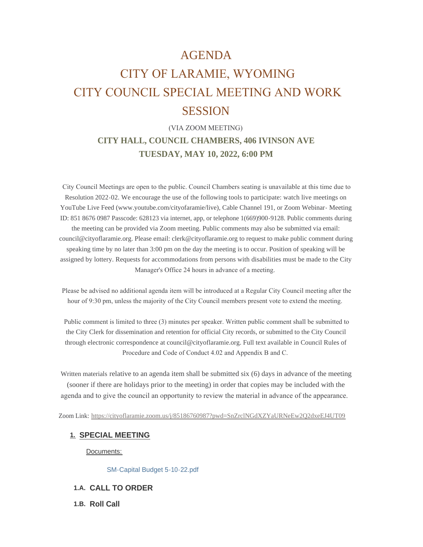## AGENDA

# CITY OF LARAMIE, WYOMING CITY COUNCIL SPECIAL MEETING AND WORK **SESSION**

## (VIA ZOOM MEETING) **CITY HALL, COUNCIL CHAMBERS, 406 IVINSON AVE TUESDAY, MAY 10, 2022, 6:00 PM**

 City Council Meetings are open to the public. Council Chambers seating is unavailable at this time due to Resolution 2022-02. We encourage the use of the following tools to participate: watch live meetings on YouTube Live Feed (www.youtube.com/cityofaramie/live), Cable Channel 191, or Zoom Webinar- Meeting ID: 851 8676 0987 Passcode: 628123 via internet, app, or telephone 1(669)900-9128. Public comments during the meeting can be provided via Zoom meeting. Public comments may also be submitted via email: council@cityoflaramie.org. Please email: clerk@cityoflaramie.org to request to make public comment during speaking time by no later than 3:00 pm on the day the meeting is to occur. Position of speaking will be assigned by lottery. Requests for accommodations from persons with disabilities must be made to the City Manager's Office 24 hours in advance of a meeting.

 Please be advised no additional agenda item will be introduced at a Regular City Council meeting after the hour of 9:30 pm, unless the majority of the City Council members present vote to extend the meeting.

 Public comment is limited to three (3) minutes per speaker. Written public comment shall be submitted to the City Clerk for dissemination and retention for official City records, or submitted to the City Council through electronic correspondence at council@cityoflaramie.org. Full text available in Council Rules of Procedure and Code of Conduct 4.02 and Appendix B and C.

Written materials relative to an agenda item shall be submitted six (6) days in advance of the meeting (sooner if there are holidays prior to the meeting) in order that copies may be included with the agenda and to give the council an opportunity to review the material in advance of the appearance.

Zoom Link: <https://cityoflaramie.zoom.us/j/85186760987?pwd=SnZrclNGdXZYaURNeEw2Q2dxeEJ4UT09>

#### **SPECIAL MEETING 1.**

Documents:

[SM-Capital Budget 5-10-22.pdf](https://cityoflaramie.org/AgendaCenter/ViewFile/Item/12412?fileID=16998)

- **CALL TO ORDER 1.A.**
- 1.B. Roll Call